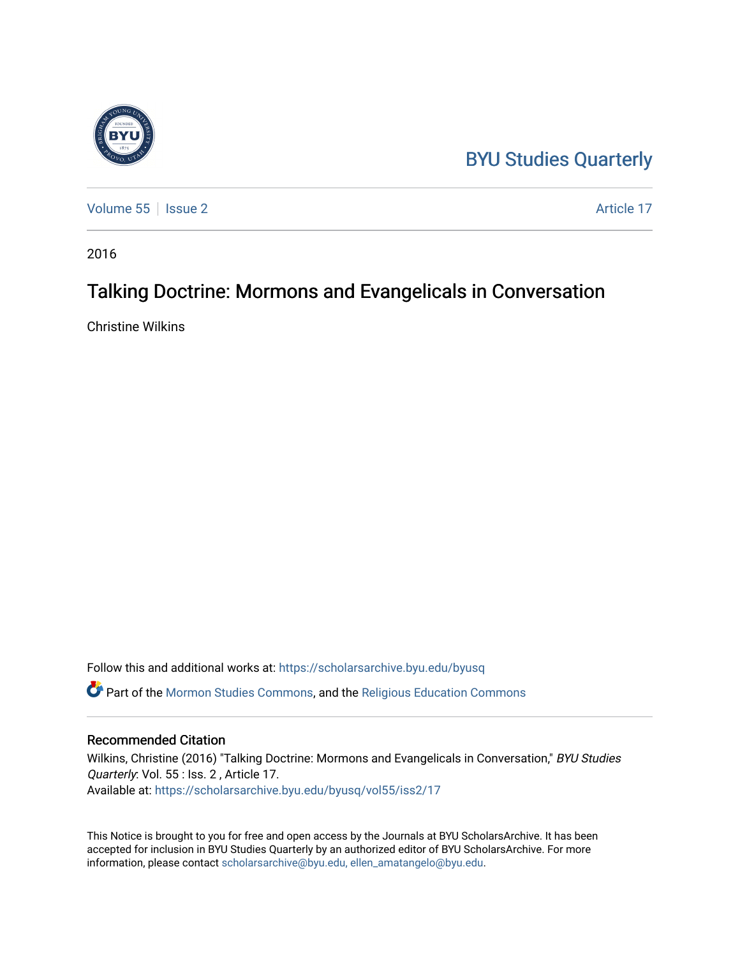## [BYU Studies Quarterly](https://scholarsarchive.byu.edu/byusq)

[Volume 55](https://scholarsarchive.byu.edu/byusq/vol55) | [Issue 2](https://scholarsarchive.byu.edu/byusq/vol55/iss2) Article 17

2016

## Talking Doctrine: Mormons and Evangelicals in Conversation

Christine Wilkins

Follow this and additional works at: [https://scholarsarchive.byu.edu/byusq](https://scholarsarchive.byu.edu/byusq?utm_source=scholarsarchive.byu.edu%2Fbyusq%2Fvol55%2Fiss2%2F17&utm_medium=PDF&utm_campaign=PDFCoverPages) 

Part of the [Mormon Studies Commons](http://network.bepress.com/hgg/discipline/1360?utm_source=scholarsarchive.byu.edu%2Fbyusq%2Fvol55%2Fiss2%2F17&utm_medium=PDF&utm_campaign=PDFCoverPages), and the [Religious Education Commons](http://network.bepress.com/hgg/discipline/1414?utm_source=scholarsarchive.byu.edu%2Fbyusq%2Fvol55%2Fiss2%2F17&utm_medium=PDF&utm_campaign=PDFCoverPages) 

## Recommended Citation

Wilkins, Christine (2016) "Talking Doctrine: Mormons and Evangelicals in Conversation," BYU Studies Quarterly: Vol. 55 : Iss. 2 , Article 17. Available at: [https://scholarsarchive.byu.edu/byusq/vol55/iss2/17](https://scholarsarchive.byu.edu/byusq/vol55/iss2/17?utm_source=scholarsarchive.byu.edu%2Fbyusq%2Fvol55%2Fiss2%2F17&utm_medium=PDF&utm_campaign=PDFCoverPages) 

This Notice is brought to you for free and open access by the Journals at BYU ScholarsArchive. It has been accepted for inclusion in BYU Studies Quarterly by an authorized editor of BYU ScholarsArchive. For more information, please contact [scholarsarchive@byu.edu, ellen\\_amatangelo@byu.edu.](mailto:scholarsarchive@byu.edu,%20ellen_amatangelo@byu.edu)